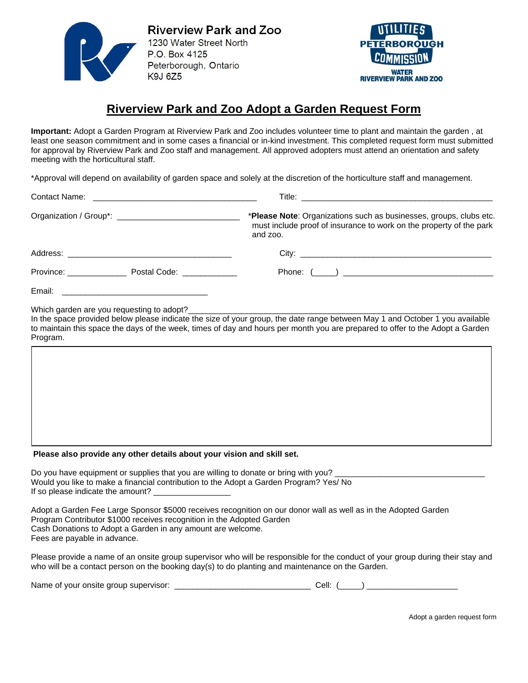

**Riverview Park and Zoo** 1230 Water Street North P.O. Box 4125 Peterborough, Ontario **K9J 6Z5** 



## **Riverview Park and Zoo Adopt a Garden Request Form**

**Important:** Adopt a Garden Program at Riverview Park and Zoo includes volunteer time to plant and maintain the garden , at least one season commitment and in some cases a financial or in-kind investment. This completed request form must submitted for approval by Riverview Park and Zoo staff and management. All approved adopters must attend an orientation and safety meeting with the horticultural staff.

\*Approval will depend on availability of garden space and solely at the discretion of the horticulture staff and management.

|        |                                                                                           | *Please Note: Organizations such as businesses, groups, clubs etc.<br>must include proof of insurance to work on the property of the park<br>and zoo. |  |  |  |
|--------|-------------------------------------------------------------------------------------------|-------------------------------------------------------------------------------------------------------------------------------------------------------|--|--|--|
|        |                                                                                           |                                                                                                                                                       |  |  |  |
|        | Province: Postal Code: Province:                                                          |                                                                                                                                                       |  |  |  |
| Email: | the control of the control of the control of the control of the control of the control of |                                                                                                                                                       |  |  |  |

Which garden are you requesting to adopt?

In the space provided below please indicate the size of your group, the date range between May 1 and October 1 you available to maintain this space the days of the week, times of day and hours per month you are prepared to offer to the Adopt a Garden Program.

## **Please also provide any other details about your vision and skill set.**

| Do you have equipment or supplies that you are willing to donate or bring with you?    |
|----------------------------------------------------------------------------------------|
| Would you like to make a financial contribution to the Adopt a Garden Program? Yes/ No |
| If so please indicate the amount?                                                      |

Adopt a Garden Fee Large Sponsor \$5000 receives recognition on our donor wall as well as in the Adopted Garden Program Contributor \$1000 receives recognition in the Adopted Garden Cash Donations to Adopt a Garden in any amount are welcome. Fees are payable in advance.

Please provide a name of an onsite group supervisor who will be responsible for the conduct of your group during their stay and who will be a contact person on the booking day(s) to do planting and maintenance on the Garden.

| Name of your onsite group supervisor: |  | Cell: |  |  |
|---------------------------------------|--|-------|--|--|
|---------------------------------------|--|-------|--|--|

Adopt a garden request form